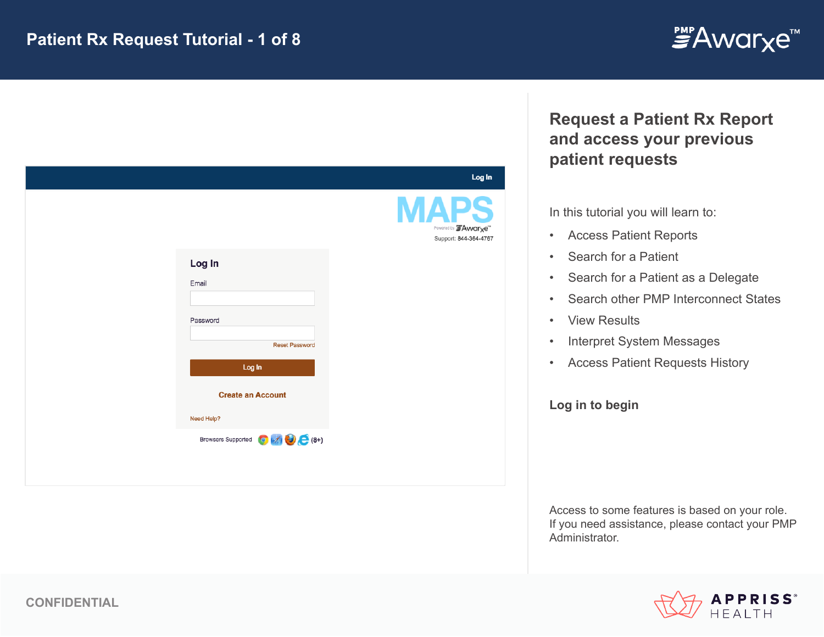

| Log In                             | Log In<br><b>\PS</b><br>Powered by FAwarxe"<br>Support: 844-364-4767 |
|------------------------------------|----------------------------------------------------------------------|
|                                    |                                                                      |
|                                    |                                                                      |
| Email                              |                                                                      |
| Password                           |                                                                      |
| <b>Reset Password</b>              |                                                                      |
| Log In                             |                                                                      |
| <b>Create an Account</b>           |                                                                      |
| Need Help?                         |                                                                      |
| Browsers Supported <b>O</b> A (8+) |                                                                      |

# **Request a Patient Rx Report and access your previous patient requests**

In this tutorial you will learn to:

- Access Patient Reports
- Search for a Patient
- Search for a Patient as a Delegate
- Search other PMP Interconnect States
- View Results
- Interpret System Messages
- Access Patient Requests History

**Log in to begin**

Access to some features is based on your role. If you need assistance, please contact your PMP Administrator.

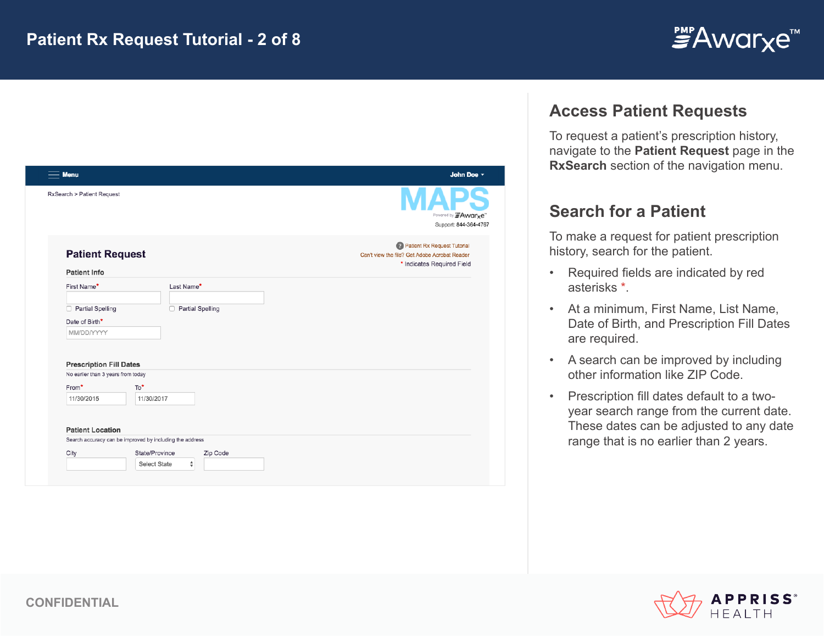

| <b>Menu</b>                                                          |                                                          | John Doe -                                                                                                   |
|----------------------------------------------------------------------|----------------------------------------------------------|--------------------------------------------------------------------------------------------------------------|
| RxSearch > Patient Request                                           |                                                          | Powered by "Awarxe"<br>Support: 844-364-4767                                                                 |
| <b>Patient Request</b><br><b>Patient Info</b>                        |                                                          | 2 Patient Rx Request Tutorial<br>Can't view the file? Get Adobe Acrobat Reader<br>* Indicates Required Field |
| First Name*                                                          | Last Name*                                               |                                                                                                              |
| <b>Partial Spelling</b><br>$\Box$                                    | Partial Spelling<br>$\Box$                               |                                                                                                              |
| Date of Birth*<br>MM/DD/YYYY                                         |                                                          |                                                                                                              |
| <b>Prescription Fill Dates</b><br>No earlier than 3 years from today |                                                          |                                                                                                              |
| From*                                                                | To*                                                      |                                                                                                              |
| 11/30/2015                                                           | 11/30/2017                                               |                                                                                                              |
| <b>Patient Location</b>                                              |                                                          |                                                                                                              |
|                                                                      | Search accuracy can be improved by including the address |                                                                                                              |
|                                                                      | Zip Code<br>State/Province                               |                                                                                                              |
| City                                                                 | $\div$<br>Select State                                   |                                                                                                              |

### **Access Patient Requests**

To request a patient's prescription history, navigate to the **Patient Request** page in the **RxSearch** section of the navigation menu.

## **Search for a Patient**

To make a request for patient prescription history, search for the patient.

- Required fields are indicated by red asterisks \*.
- At a minimum, First Name, List Name, Date of Birth, and Prescription Fill Dates are required.
- A search can be improved by including other information like ZIP Code.
- Prescription fill dates default to a twoyear search range from the current date. These dates can be adjusted to any date range that is no earlier than 2 years.

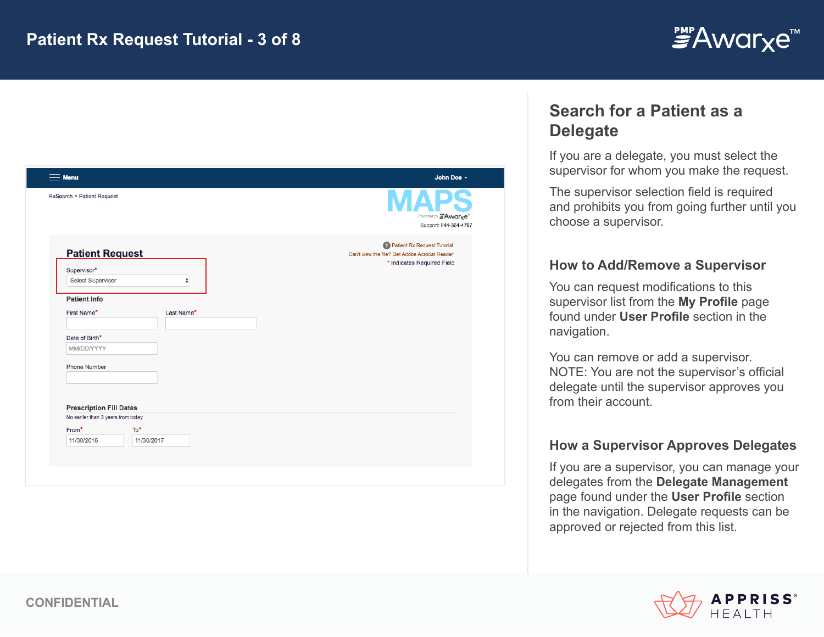

| Menu                               |            | John Doe -                                                                     |
|------------------------------------|------------|--------------------------------------------------------------------------------|
| RxSearch > Patient Request         |            | Powered by FAwarxe"<br>Support: 844-364-4767                                   |
| <b>Patient Request</b>             |            | 2 Patient Rx Request Tutorial<br>Can't view the file? Get Adobe Acrobat Reader |
| Supervisor*                        |            | * Indicates Required Field                                                     |
| Select Supervisor                  | ÷          |                                                                                |
| <b>Patient Info</b>                |            |                                                                                |
| First Name*                        | Last Name* |                                                                                |
| Date of Birth*                     |            |                                                                                |
| MM/DD/YYYY                         |            |                                                                                |
| Phone Number                       |            |                                                                                |
|                                    |            |                                                                                |
| <b>Prescription Fill Dates</b>     |            |                                                                                |
| No earlier than 3 years from today |            |                                                                                |
| To*<br>From*                       |            |                                                                                |
| 11/30/2016                         | 11/30/2017 |                                                                                |
|                                    |            |                                                                                |
|                                    |            |                                                                                |

## **Search for a Patient as a Delegate**

If you are a delegate, you must select the supervisor for whom you make the request.

The supervisor selection field is required and prohibits you from going further until you choose a supervisor.

#### **How to Add/Remove a Supervisor**

You can request modifications to this supervisor list from the **My Profile** page found under **User Profile** section in the navigation.

You can remove or add a supervisor. NOTE: You are not the supervisor's official delegate until the supervisor approves you from their account.

#### **How a Supervisor Approves Delegates**

If you are a supervisor, you can manage your delegates from the **Delegate Management**  page found under the **User Profile** section in the navigation. Delegate requests can be approved or rejected from this list.

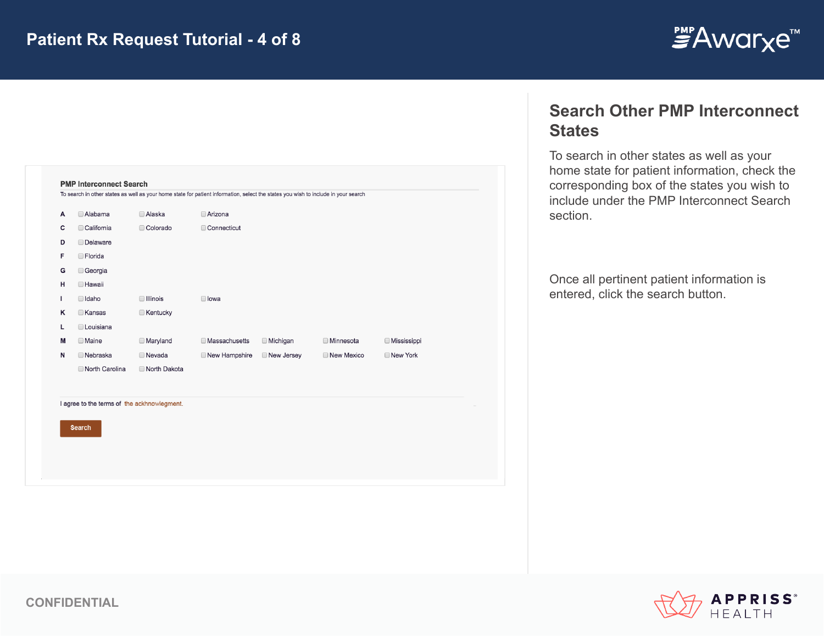

| Α  | Alabama         | □ Alaska        | Arizona              |                 |                  |                    |
|----|-----------------|-----------------|----------------------|-----------------|------------------|--------------------|
| c  | California      | Colorado        | Connecticut          |                 |                  |                    |
| D  | <b>Delaware</b> |                 |                      |                 |                  |                    |
| F  | <b>Florida</b>  |                 |                      |                 |                  |                    |
| G  | Georgia         |                 |                      |                 |                  |                    |
| н  | <b>Hawaii</b>   |                 |                      |                 |                  |                    |
| T. | $\Box$ Idaho    | □ Illinois      | lowa                 |                 |                  |                    |
| ĸ  | <b>Kansas</b>   | <b>Kentucky</b> |                      |                 |                  |                    |
| г  | Louisiana       |                 |                      |                 |                  |                    |
| М  | <b>Maine</b>    | <b>Maryland</b> | <b>Massachusetts</b> | <b>Michigan</b> | <b>Minnesota</b> | <b>Mississippi</b> |
| N  | <b>Nebraska</b> | <b>Nevada</b>   | New Hampshire        | New Jersey      | New Mexico       | New York           |
|    | North Carolina  | North Dakota    |                      |                 |                  |                    |

### **Search Other PMP Interconnect States**

To search in other states as well as your home state for patient information, check the corresponding box of the states you wish to include under the PMP Interconnect Search section.

Once all pertinent patient information is entered, click the search button.

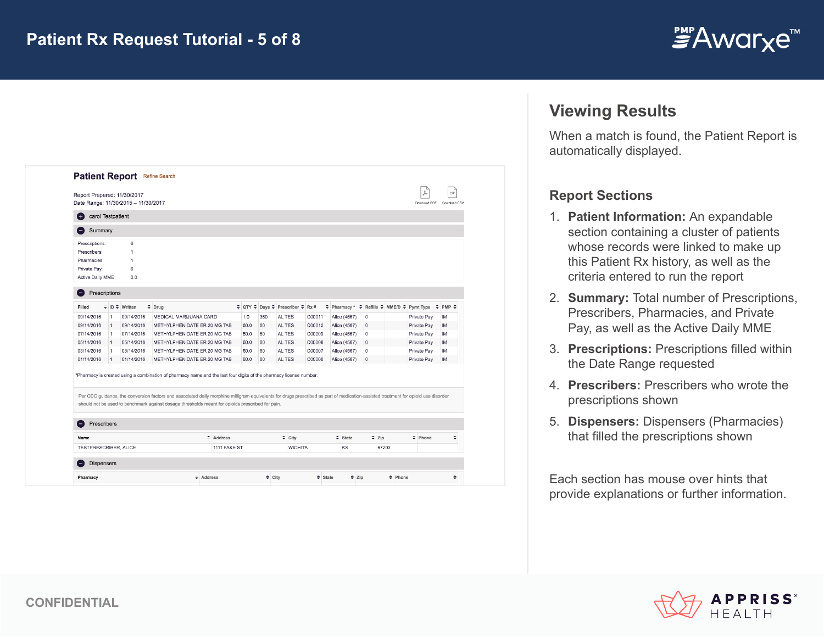

| Date Range: 11/30/2015 - 11/30/2017<br>Download PDF<br>Download CSV<br>carol Testpatient<br>$^{+}$<br>Summary<br>6<br>1<br>1<br>6<br>0.0<br>Prescriptions<br>≑ QTY ≑ Days ≑ Prescriber ≑ Rx #<br>≑ Pharmacy * ≑ Refills ≑ MME/D ≑ Pymt Type<br>$\div$ ID $\div$ Written<br>$\div$ Drug<br>$\ddot{ }$<br>PMP $\div$<br>09/14/2016<br>MEDICAL MARIJUANA CARD<br>1.0<br>360<br>AL TES<br>C00011<br>$\mathbf{0}$<br>Private Pay<br><b>IM</b><br>$\overline{1}$<br>Alice (4567)<br>09/14/2016<br>C00010<br>METHYLPHENIDATE ER 20 MG TAB<br>60.0<br>AL TES<br>Alice (4567)<br>$\Omega$<br>Private Pay<br>IM<br>$\overline{1}$<br>60<br>C00009<br>Private Pay<br>07/14/2016<br>METHYLPHENIDATE ER 20 MG TAB<br>60.0<br>60<br>AL TES<br>Alice (4567)<br>$\mathbf{0}$<br>IM<br>$\overline{1}$<br>05/14/2016<br>AL TES<br>C00008<br>Alice (4567)<br>$\Omega$<br>Private Pay<br>$\vert$ 1<br>METHYLPHENIDATE ER 20 MG TAB<br>60.0<br>60<br>IM<br>03/14/2016<br>METHYLPHENIDATE ER 20 MG TAB<br>60.0<br>AL TES<br>C00007<br>Private Pay<br>60<br>Alice (4567)<br>0<br>IM<br>1<br>01/14/2016<br>METHYLPHENIDATE ER 20 MG TAB<br>60.0<br>60<br>AL TES<br>C00006<br>Alice (4567)<br>$\theta$<br>Private Pay<br>IM<br>$\mathbf{1}$<br>Prescribers<br>٠<br>Address<br>$\div$ City<br>$\div$ State<br>$\div$ Zip<br>$\div$ Phone<br>÷<br>1111 FAKE ST<br><b>WICHITA</b><br>KS<br>67203 | Report Prepared: 11/30/2017 |  | Patient Report Refine Search |  |  |  |  |  | CSV |
|----------------------------------------------------------------------------------------------------------------------------------------------------------------------------------------------------------------------------------------------------------------------------------------------------------------------------------------------------------------------------------------------------------------------------------------------------------------------------------------------------------------------------------------------------------------------------------------------------------------------------------------------------------------------------------------------------------------------------------------------------------------------------------------------------------------------------------------------------------------------------------------------------------------------------------------------------------------------------------------------------------------------------------------------------------------------------------------------------------------------------------------------------------------------------------------------------------------------------------------------------------------------------------------------------------------------------------------------------------------------|-----------------------------|--|------------------------------|--|--|--|--|--|-----|
|                                                                                                                                                                                                                                                                                                                                                                                                                                                                                                                                                                                                                                                                                                                                                                                                                                                                                                                                                                                                                                                                                                                                                                                                                                                                                                                                                                      |                             |  |                              |  |  |  |  |  |     |
| should not be used to benchmark against dosage thresholds meant for opioids prescribed for pain.                                                                                                                                                                                                                                                                                                                                                                                                                                                                                                                                                                                                                                                                                                                                                                                                                                                                                                                                                                                                                                                                                                                                                                                                                                                                     |                             |  |                              |  |  |  |  |  |     |
| Prescriptions:<br>Per CDC guidance, the conversion factors and associated daily morphine milligram equivalents for drugs prescribed as part of medication-assisted treatment for opioid use disorder                                                                                                                                                                                                                                                                                                                                                                                                                                                                                                                                                                                                                                                                                                                                                                                                                                                                                                                                                                                                                                                                                                                                                                 |                             |  |                              |  |  |  |  |  |     |
| Prescribers:<br>Pharmacies:<br>Private Pay:<br>Active Daily MME:<br>Filled<br>09/14/2016<br>09/14/2016<br>07/14/2016<br>05/14/2016<br>03/14/2016<br>01/14/2016<br>*Pharmacy is created using a combination of pharmacy name and the last four digits of the pharmacy license number.                                                                                                                                                                                                                                                                                                                                                                                                                                                                                                                                                                                                                                                                                                                                                                                                                                                                                                                                                                                                                                                                                 |                             |  |                              |  |  |  |  |  |     |
|                                                                                                                                                                                                                                                                                                                                                                                                                                                                                                                                                                                                                                                                                                                                                                                                                                                                                                                                                                                                                                                                                                                                                                                                                                                                                                                                                                      |                             |  |                              |  |  |  |  |  |     |
|                                                                                                                                                                                                                                                                                                                                                                                                                                                                                                                                                                                                                                                                                                                                                                                                                                                                                                                                                                                                                                                                                                                                                                                                                                                                                                                                                                      |                             |  |                              |  |  |  |  |  |     |
|                                                                                                                                                                                                                                                                                                                                                                                                                                                                                                                                                                                                                                                                                                                                                                                                                                                                                                                                                                                                                                                                                                                                                                                                                                                                                                                                                                      |                             |  |                              |  |  |  |  |  |     |
|                                                                                                                                                                                                                                                                                                                                                                                                                                                                                                                                                                                                                                                                                                                                                                                                                                                                                                                                                                                                                                                                                                                                                                                                                                                                                                                                                                      |                             |  |                              |  |  |  |  |  |     |
|                                                                                                                                                                                                                                                                                                                                                                                                                                                                                                                                                                                                                                                                                                                                                                                                                                                                                                                                                                                                                                                                                                                                                                                                                                                                                                                                                                      |                             |  |                              |  |  |  |  |  |     |
|                                                                                                                                                                                                                                                                                                                                                                                                                                                                                                                                                                                                                                                                                                                                                                                                                                                                                                                                                                                                                                                                                                                                                                                                                                                                                                                                                                      |                             |  |                              |  |  |  |  |  |     |
|                                                                                                                                                                                                                                                                                                                                                                                                                                                                                                                                                                                                                                                                                                                                                                                                                                                                                                                                                                                                                                                                                                                                                                                                                                                                                                                                                                      |                             |  |                              |  |  |  |  |  |     |
|                                                                                                                                                                                                                                                                                                                                                                                                                                                                                                                                                                                                                                                                                                                                                                                                                                                                                                                                                                                                                                                                                                                                                                                                                                                                                                                                                                      |                             |  |                              |  |  |  |  |  |     |
|                                                                                                                                                                                                                                                                                                                                                                                                                                                                                                                                                                                                                                                                                                                                                                                                                                                                                                                                                                                                                                                                                                                                                                                                                                                                                                                                                                      |                             |  |                              |  |  |  |  |  |     |
|                                                                                                                                                                                                                                                                                                                                                                                                                                                                                                                                                                                                                                                                                                                                                                                                                                                                                                                                                                                                                                                                                                                                                                                                                                                                                                                                                                      |                             |  |                              |  |  |  |  |  |     |
|                                                                                                                                                                                                                                                                                                                                                                                                                                                                                                                                                                                                                                                                                                                                                                                                                                                                                                                                                                                                                                                                                                                                                                                                                                                                                                                                                                      |                             |  |                              |  |  |  |  |  |     |
|                                                                                                                                                                                                                                                                                                                                                                                                                                                                                                                                                                                                                                                                                                                                                                                                                                                                                                                                                                                                                                                                                                                                                                                                                                                                                                                                                                      |                             |  |                              |  |  |  |  |  |     |
|                                                                                                                                                                                                                                                                                                                                                                                                                                                                                                                                                                                                                                                                                                                                                                                                                                                                                                                                                                                                                                                                                                                                                                                                                                                                                                                                                                      |                             |  |                              |  |  |  |  |  |     |
|                                                                                                                                                                                                                                                                                                                                                                                                                                                                                                                                                                                                                                                                                                                                                                                                                                                                                                                                                                                                                                                                                                                                                                                                                                                                                                                                                                      |                             |  |                              |  |  |  |  |  |     |
| Name<br>TESTPRESCRIBER, ALICE                                                                                                                                                                                                                                                                                                                                                                                                                                                                                                                                                                                                                                                                                                                                                                                                                                                                                                                                                                                                                                                                                                                                                                                                                                                                                                                                        |                             |  |                              |  |  |  |  |  |     |
|                                                                                                                                                                                                                                                                                                                                                                                                                                                                                                                                                                                                                                                                                                                                                                                                                                                                                                                                                                                                                                                                                                                                                                                                                                                                                                                                                                      |                             |  |                              |  |  |  |  |  |     |
|                                                                                                                                                                                                                                                                                                                                                                                                                                                                                                                                                                                                                                                                                                                                                                                                                                                                                                                                                                                                                                                                                                                                                                                                                                                                                                                                                                      |                             |  |                              |  |  |  |  |  |     |
|                                                                                                                                                                                                                                                                                                                                                                                                                                                                                                                                                                                                                                                                                                                                                                                                                                                                                                                                                                                                                                                                                                                                                                                                                                                                                                                                                                      | <b>Dispensers</b>           |  |                              |  |  |  |  |  |     |
| ÷<br>$\div$ City<br>$\div$ State<br>$\div$ Zip<br>$\div$ Phone<br>$\div$ Address<br>Pharmacy                                                                                                                                                                                                                                                                                                                                                                                                                                                                                                                                                                                                                                                                                                                                                                                                                                                                                                                                                                                                                                                                                                                                                                                                                                                                         |                             |  |                              |  |  |  |  |  |     |

## **Viewing Results**

When a match is found, the Patient Report is automatically displayed.

#### **Report Sections**

- 1. **Patient Information:** An expandable section containing a cluster of patients whose records were linked to make up this Patient Rx history, as well as the criteria entered to run the report
- 2. **Summary:** Total number of Prescriptions, Prescribers, Pharmacies, and Private Pay, as well as the Active Daily MME
- 3. **Prescriptions:** Prescriptions filled within the Date Range requested
- 4. **Prescribers:** Prescribers who wrote the prescriptions shown
- 5. **Dispensers:** Dispensers (Pharmacies) that filled the prescriptions shown

Each section has mouse over hints that provide explanations or further information.

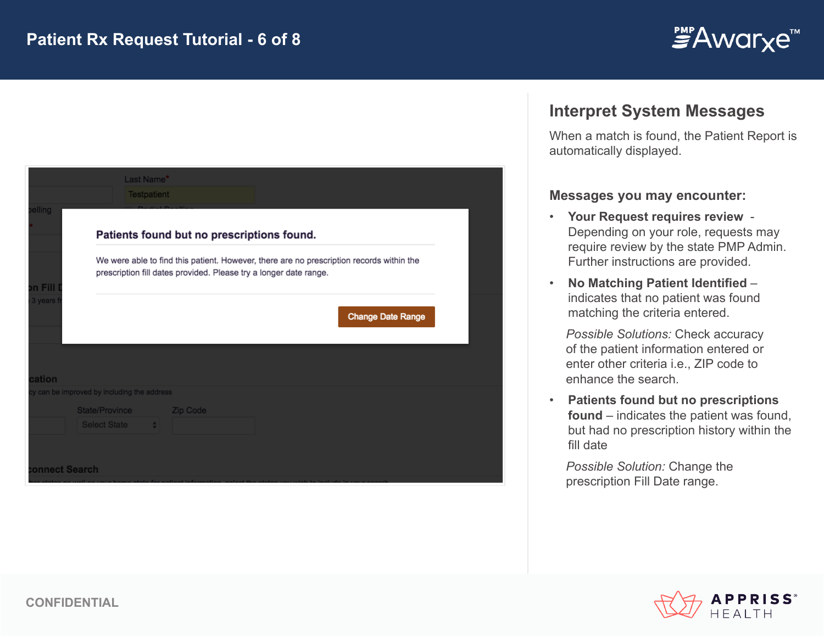

|               | Last Name*<br>Testpatient                    |                                                                                                                                                               |                          |  |
|---------------|----------------------------------------------|---------------------------------------------------------------------------------------------------------------------------------------------------------------|--------------------------|--|
| elling        |                                              | Patients found but no prescriptions found.                                                                                                                    |                          |  |
| n Fill        |                                              | We were able to find this patient. However, there are no prescription records within the<br>prescription fill dates provided. Please try a longer date range. |                          |  |
| 3 years       |                                              |                                                                                                                                                               | <b>Change Date Range</b> |  |
| cation        |                                              |                                                                                                                                                               |                          |  |
|               | y can be improved by including the address   |                                                                                                                                                               |                          |  |
|               | State/Province<br><b>Select State</b><br>- 4 | Zip Code                                                                                                                                                      |                          |  |
|               |                                              |                                                                                                                                                               |                          |  |
| onnect Search |                                              |                                                                                                                                                               |                          |  |

#### **Interpret System Messages**

When a match is found, the Patient Report is automatically displayed.

#### **Messages you may encounter:**

- **Your Request requires review** Depending on your role, requests may require review by the state PMP Admin. Further instructions are provided.
- **No Matching Patient Identified**  indicates that no patient was found matching the criteria entered.

*Possible Solutions:* Check accuracy of the patient information entered or enter other criteria i.e., ZIP code to enhance the search.

• **Patients found but no prescriptions found** – indicates the patient was found, but had no prescription history within the fill date

*Possible Solution:* Change the prescription Fill Date range.

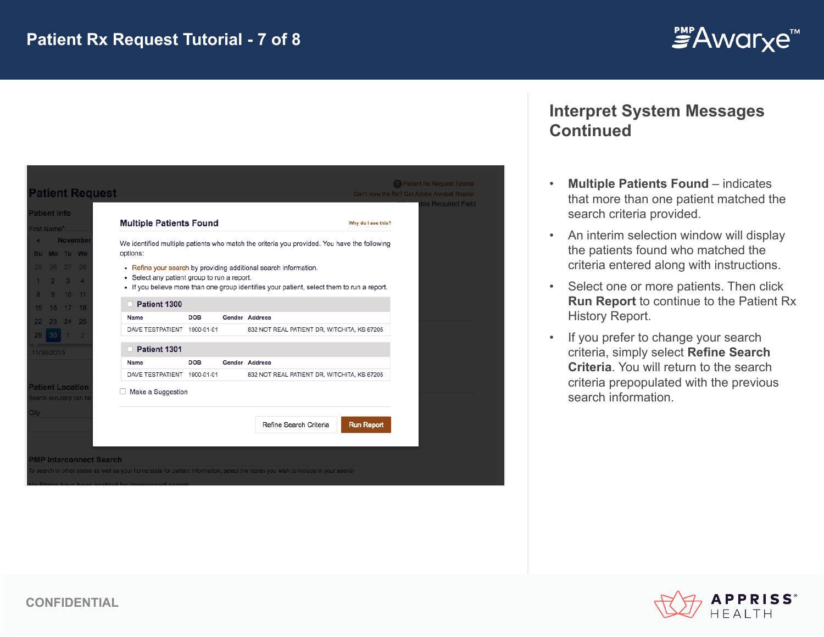

| <b>Patient Request</b>                            |                                             |            | Can't view the file? Get Adobe Acrobat Reader                                               |
|---------------------------------------------------|---------------------------------------------|------------|---------------------------------------------------------------------------------------------|
| <b>Patient Info</b>                               | <b>Multiple Patients Found</b>              |            | Why do I see this?                                                                          |
| irst Name*                                        |                                             |            |                                                                                             |
| <b>November</b><br>Su Mo Tu We                    | options:                                    |            | We identified multiple patients who match the criteria you provided. You have the following |
| 25 26 27 28                                       |                                             |            | • Refine your search by providing additional search information.                            |
| $2 \t3 \t4$                                       | • Select any patient group to run a report. |            |                                                                                             |
| 9 10 11                                           |                                             |            | • If you believe more than one group identifies your patient, select them to run a report.  |
| 16 17 18                                          | Patient 1300                                |            |                                                                                             |
| 23 24 25                                          | Name                                        | DOB        | Gender Address                                                                              |
|                                                   | DAVE TESTPATIENT 1900-01-01                 |            | 832 NOT REAL PATIENT DR, WITCHITA, KS 67205                                                 |
| 11/30/2015                                        | Patient 1301                                |            |                                                                                             |
|                                                   | Name                                        | <b>DOB</b> | Gender Address                                                                              |
|                                                   | DAVE TESTPATIENT 1900-01-01                 |            | 832 NOT REAL PATIENT DR, WITCHITA, KS 67205                                                 |
| <b>Patient Location</b><br>Search accuracy can be | Make a Suggestion                           |            |                                                                                             |
|                                                   |                                             |            | Refine Search Criteria<br><b>Run Report</b>                                                 |

### **Interpret System Messages Continued**

- **Multiple Patients Found**  indicates that more than one patient matched the search criteria provided.
- An interim selection window will display the patients found who matched the criteria entered along with instructions.
- Select one or more patients. Then click **Run Report** to continue to the Patient Rx History Report.
- If you prefer to change your search criteria, simply select **Refine Search Criteria**. You will return to the search criteria prepopulated with the previous search information.